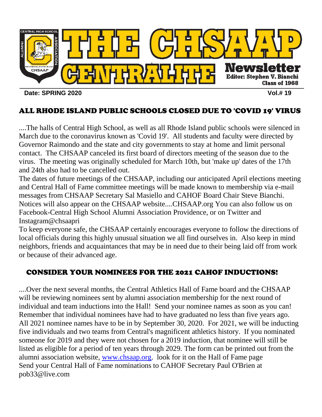

# ALL RHODE ISLAND PUBLIC SCHOOLS CLOSED DUE TO 'COVID 19' VIRUS

....The halls of Central High School, as well as all Rhode Island public schools were silenced in March due to the coronavirus known as 'Covid 19'. All students and faculty were directed by Governor Raimondo and the state and city governments to stay at home and limit personal contact. The CHSAAP canceled its first board of directors meeting of the season due to the virus. The meeting was originally scheduled for March 10th, but 'make up' dates of the 17th and 24th also had to be cancelled out.

The dates of future meetings of the CHSAAP, including our anticipated April elections meeting and Central Hall of Fame committee meetings will be made known to membership via e-mail messages from CHSAAP Secretary Sal Masiello and CAHOF Board Chair Steve Bianchi. Notices will also appear on the CHSAAP website....CHSAAP.org You can also follow us on Facebook-Central High School Alumni Association Providence, or on Twitter and Instagram@chsaapri

To keep everyone safe, the CHSAAP certainly encourages everyone to follow the directions of local officials during this highly unusual situation we all find ourselves in. Also keep in mind neighbors, friends and acquaintances that may be in need due to their being laid off from work or because of their advanced age.

# CONSIDER YOUR NOMINEES FOR THE 2021 CAHOF INDUCTIONS!

....Over the next several months, the Central Athletics Hall of Fame board and the CHSAAP will be reviewing nominees sent by alumni association membership for the next round of individual and team inductions into the Hall! Send your nominee names as soon as you can! Remember that individual nominees have had to have graduated no less than five years ago. All 2021 nominee names have to be in by September 30, 2020. For 2021, we will be inducting five individuals and two teams from Central's magnificent athletics history. If you nominated someone for 2019 and they were not chosen for a 2019 induction, that nominee will still be listed as eligible for a period of ten years through 2029. The form can be printed out from the alumni association website, [www.chsaap.org.](http://www.chsaap.org/) look for it on the Hall of Fame page Send your Central Hall of Fame nominations to CAHOF Secretary Paul O'Brien at pob33@live.com